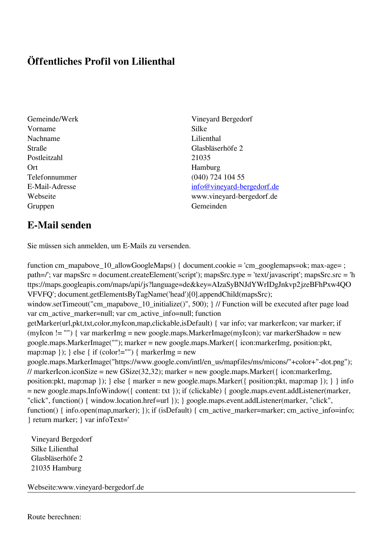## **Öffentliches Profil von Lilienthal**

- Vorname Silke Nachname Lilienthal Postleitzahl 21035 Ort Hamburg Gruppen Gemeinden Gemeinden Gemeinden Gemeinden Gemeinden Gemeinden Gemeinden Gemeinden Gemeinden Gemeinden G
- Gemeinde/Werk Vineyard Bergedorf Straße Glasbläserhöfe 2 Telefonnummer (040) 724 104 55 E-Mail-Adresse [info@vineyard-bergedorf.de](mailto:info@vineyard-bergedorf.de) Webseite www.vineyard-bergedorf.de

## **E-Mail senden**

Sie müssen sich anmelden, um E-Mails zu versenden.

function cm\_mapabove\_10\_allowGoogleMaps() { document.cookie = 'cm\_googlemaps=ok; max-age= ; path=/'; var mapsSrc = document.createElement('script'); mapsSrc.type = 'text/javascript'; mapsSrc.src = 'h ttps://maps.googleapis.com/maps/api/js?language=de&key=AIzaSyBNJdYWrIDgJnkvp2jzeBFhPxw4QO VFVFQ'; document.getElementsByTagName('head')[0].appendChild(mapsSrc); window.setTimeout("cm\_mapabove\_10\_initialize()", 500); } // Function will be executed after page load var cm\_active\_marker=null; var cm\_active\_info=null; function getMarker(url,pkt,txt,color,myIcon,map,clickable,isDefault) { var info; var markerIcon; var marker; if (myIcon != "") { var markerImg = new google.maps.MarkerImage(myIcon); var markerShadow = new google.maps.MarkerImage(""); marker = new google.maps.Marker({ icon:markerImg, position:pkt, map:map  $\}$ ;  $\}$  else  $\{$  if (color!="")  $\{$  markerImg = new google.maps.MarkerImage("https://www.google.com/intl/en\_us/mapfiles/ms/micons/"+color+"-dot.png"); // markerIcon.iconSize = new GSize(32,32); marker = new google.maps.Marker({ $i$ con:markerImg, position:pkt, map:map }); } else { marker = new google.maps.Marker({ position:pkt, map:map }); } } info = new google.maps.InfoWindow({ content: txt }); if (clickable) { google.maps.event.addListener(marker, "click", function() { window.location.href=url }); } google.maps.event.addListener(marker, "click", function() { info.open(map,marker); }); if (isDefault) { cm\_active\_marker=marker; cm\_active\_info=info; } return marker; } var infoText='

 Vineyard Bergedorf Silke Lilienthal Glasbläserhöfe 2 21035 Hamburg

Webseite:www.vineyard-bergedorf.de